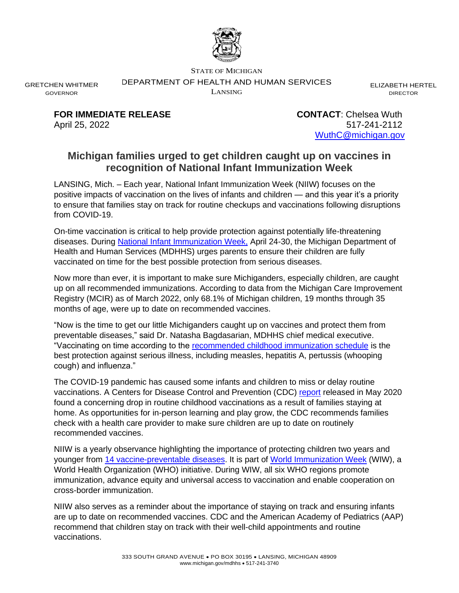

STATE OF MICHIGAN

DEPARTMENT OF HEALTH AND HUMAN SERVICES

LANSING

ELIZABETH HERTEL DIRECTOR

GRETCHEN WHITMER GOVERNOR

> **FOR IMMEDIATE RELEASE CONTACT**: Chelsea Wuth April 25, 2022 517-241-2112 [WuthC@michigan.gov](mailto:WuthC@michigan.gov)

## **Michigan families urged to get children caught up on vaccines in recognition of National Infant Immunization Week**

LANSING, Mich. – Each year, National Infant Immunization Week (NIIW) focuses on the positive impacts of vaccination on the lives of infants and children — and this year it's a priority to ensure that families stay on track for routine checkups and vaccinations following disruptions from COVID-19.

On-time vaccination is critical to help provide protection against potentially life-threatening diseases. During [National Infant Immunization Week,](https://www.cdc.gov/vaccines/events/niiw/) April 24-30, the Michigan Department of Health and Human Services (MDHHS) urges parents to ensure their children are fully vaccinated on time for the best possible protection from serious diseases.

Now more than ever, it is important to make sure Michiganders, especially children, are caught up on all recommended immunizations. According to data from the Michigan Care Improvement Registry (MCIR) as of March 2022, only 68.1% of Michigan children, 19 months through 35 months of age, were up to date on recommended vaccines.

"Now is the time to get our little Michiganders caught up on vaccines and protect them from preventable diseases," said Dr. Natasha Bagdasarian, MDHHS chief medical executive. "Vaccinating on time according to the [recommended childhood immunization schedule](https://www.cdc.gov/vaccines/schedules/hcp/imz/child-adolescent.html) is the best protection against serious illness, including measles, hepatitis A, pertussis (whooping cough) and influenza."

The COVID-19 pandemic has caused some infants and children to miss or delay routine vaccinations. A Centers for Disease Control and Prevention (CDC) [report](https://www.cdc.gov/mmwr/volumes/69/wr/mm6919e2.htm) released in May 2020 found a concerning drop in routine childhood vaccinations as a result of families staying at home. As opportunities for in-person learning and play grow, the CDC recommends families check with a health care provider to make sure children are up to date on routinely recommended vaccines.

NIIW is a yearly observance highlighting the importance of protecting children two years and younger from [14 vaccine-preventable diseases.](https://www.cdc.gov/vaccines/parents/diseases/forgot-14-diseases.html) It is part of [World Immunization Week](https://www.who.int/campaigns/world-immunization-week/world-immunization-week-2022) (WIW), a World Health Organization (WHO) initiative. During WIW, all six WHO regions promote immunization, advance equity and universal access to vaccination and enable cooperation on cross-border immunization.

NIIW also serves as a reminder about the importance of staying on track and ensuring infants are up to date on recommended vaccines. CDC and the American Academy of Pediatrics (AAP) recommend that children stay on track with their well-child appointments and routine vaccinations.